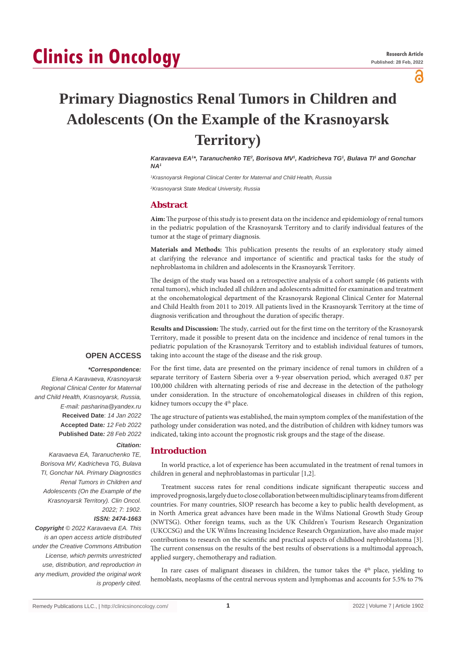# **Clinics in Oncology**

႕

## **Primary Diagnostics Renal Tumors in Children and Adolescents (On the Example of the Krasnoyarsk Territory)**

Karavaeva EA<sup>1\*</sup>, Taranuchenko TE<sup>2</sup>, Borisova MV<sup>1</sup>, Kadricheva TG<sup>1</sup>, Bulava TI<sup>1</sup> and Gonchar *NA1*

*1 Krasnoyarsk Regional Clinical Center for Maternal and Child Health, Russia*

*2 Krasnoyarsk State Medical University, Russia*

#### **Abstract**

**Aim:** The purpose of this study is to present data on the incidence and epidemiology of renal tumors in the pediatric population of the Krasnoyarsk Territory and to clarify individual features of the tumor at the stage of primary diagnosis.

**Materials and Methods:** This publication presents the results of an exploratory study aimed at clarifying the relevance and importance of scientific and practical tasks for the study of nephroblastoma in children and adolescents in the Krasnoyarsk Territory.

The design of the study was based on a retrospective analysis of a cohort sample (46 patients with renal tumors), which included all children and adolescents admitted for examination and treatment at the oncohematological department of the Krasnoyarsk Regional Clinical Center for Maternal and Child Health from 2011 to 2019. All patients lived in the Krasnoyarsk Territory at the time of diagnosis verification and throughout the duration of specific therapy.

**Results and Discussion:** The study, carried out for the first time on the territory of the Krasnoyarsk Territory, made it possible to present data on the incidence and incidence of renal tumors in the pediatric population of the Krasnoyarsk Territory and to establish individual features of tumors, taking into account the stage of the disease and the risk group.

#### **OPEN ACCESS**

 *\*Correspondence: Elena A Karavaeva, Krasnoyarsk Regional Clinical Center for Maternal and Child Health, Krasnoyarsk, Russia, E-mail: pasharina@yandex.ru* **Received Date**: *14 Jan 2022* **Accepted Date***: 12 Feb 2022* **Published Date***: 28 Feb 2022*

#### *Citation:*

*Karavaeva EA, Taranuchenko TE, Borisova MV, Kadricheva TG, Bulava TI, Gonchar NA. Primary Diagnostics Renal Tumors in Children and Adolescents (On the Example of the Krasnoyarsk Territory). Clin Oncol. 2022; 7: 1902.*

#### *ISSN: 2474-1663*

*Copyright © 2022 Karavaeva EA. This is an open access article distributed under the Creative Commons Attribution License, which permits unrestricted use, distribution, and reproduction in any medium, provided the original work is properly cited.*

For the first time, data are presented on the primary incidence of renal tumors in children of a separate territory of Eastern Siberia over a 9-year observation period, which averaged 0.87 per 100,000 children with alternating periods of rise and decrease in the detection of the pathology under consideration. In the structure of oncohematological diseases in children of this region, kidney tumors occupy the 4<sup>th</sup> place.

The age structure of patients was established, the main symptom complex of the manifestation of the pathology under consideration was noted, and the distribution of children with kidney tumors was indicated, taking into account the prognostic risk groups and the stage of the disease.

#### **Introduction**

In world practice, a lot of experience has been accumulated in the treatment of renal tumors in children in general and nephroblastomas in particular [1,2].

Treatment success rates for renal conditions indicate significant therapeutic success and improved prognosis, largely due to close collaboration between multidisciplinary teams from different countries. For many countries, SIOP research has become a key to public health development, as in North America great advances have been made in the Wilms National Growth Study Group (NWTSG). Other foreign teams, such as the UK Children's Tourism Research Organization (UKCCSG) and the UK Wilms Increasing Incidence Research Organization, have also made major contributions to research on the scientific and practical aspects of childhood nephroblastoma [3]. The current consensus on the results of the best results of observations is a multimodal approach, applied surgery, chemotherapy and radiation.

In rare cases of malignant diseases in children, the tumor takes the  $4<sup>th</sup>$  place, yielding to hemoblasts, neoplasms of the central nervous system and lymphomas and accounts for 5.5% to 7%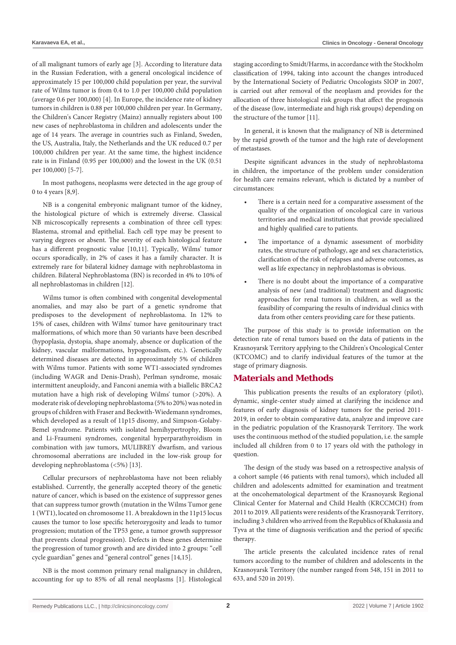of all malignant tumors of early age [3]. According to literature data in the Russian Federation, with a general oncological incidence of approximately 15 per 100,000 child population per year, the survival rate of Wilms tumor is from 0.4 to 1.0 per 100,000 child population (average 0.6 per 100,000) [4]. In Europe, the incidence rate of kidney tumors in children is 0.88 per 100,000 children per year. In Germany, the Children's Cancer Registry (Mainz) annually registers about 100 new cases of nephroblastoma in children and adolescents under the age of 14 years. The average in countries such as Finland, Sweden, the US, Australia, Italy, the Netherlands and the UK reduced 0.7 per 100,000 children per year. At the same time, the highest incidence rate is in Finland (0.95 per 100,000) and the lowest in the UK (0.51 per 100,000) [5-7].

In most pathogens, neoplasms were detected in the age group of 0 to 4 years [8,9].

NB is a congenital embryonic malignant tumor of the kidney, the histological picture of which is extremely diverse. Classical NB microscopically represents a combination of three cell types: Blastema, stromal and epithelial. Each cell type may be present to varying degrees or absent. The severity of each histological feature has a different prognostic value [10,11]. Typically, Wilms' tumor occurs sporadically, in 2% of cases it has a family character. It is extremely rare for bilateral kidney damage with nephroblastoma in children. Bilateral Nephroblastoma (BN) is recorded in 4% to 10% of all nephroblastomas in children [12].

Wilms tumor is often combined with congenital developmental anomalies, and may also be part of a genetic syndrome that predisposes to the development of nephroblastoma. In 12% to 15% of cases, children with Wilms' tumor have genitourinary tract malformations, of which more than 50 variants have been described (hypoplasia, dystopia, shape anomaly, absence or duplication of the kidney, vascular malformations, hypogonadism, etc.). Genetically determined diseases are detected in approximately 5% of children with Wilms tumor. Patients with some WT1-associated syndromes (including WAGR and Denis-Drash), Perlman syndrome, mosaic intermittent aneuploidy, and Fanconi anemia with a biallelic BRCA2 mutation have a high risk of developing Wilms' tumor (>20%). A moderate risk of developing nephroblastoma (5% to 20%) was noted in groups of children with Fraser and Beckwith-Wiedemann syndromes, which developed as a result of 11p15 disomy, and Simpson-Golaby-Bemel syndrome. Patients with isolated hemihypertrophy, Bloom and Li-Fraumeni syndromes, congenital hyperparathyroidism in combination with jaw tumors, MULIBREY dwarfism, and various chromosomal aberrations are included in the low-risk group for developing nephroblastoma (<5%) [13].

Cellular precursors of nephroblastoma have not been reliably established. Currently, the generally accepted theory of the genetic nature of cancer, which is based on the existence of suppressor genes that can suppress tumor growth (mutation in the Wilms Tumor gene 1 (WT1), located on chromosome 11. A breakdown in the 11p15 locus causes the tumor to lose specific heterozygosity and leads to tumor progression; mutation of the TP53 gene, a tumor growth suppressor that prevents clonal progression). Defects in these genes determine the progression of tumor growth and are divided into 2 groups: "cell cycle guardian" genes and "general control" genes [14,15].

NB is the most common primary renal malignancy in children, accounting for up to 85% of all renal neoplasms [1]. Histological

staging according to Smidt/Harms, in accordance with the Stockholm classification of 1994, taking into account the changes introduced by the International Society of Pediatric Oncologists SIOP in 2007, is carried out after removal of the neoplasm and provides for the allocation of three histological risk groups that affect the prognosis of the disease (low, intermediate and high risk groups) depending on the structure of the tumor [11].

In general, it is known that the malignancy of NB is determined by the rapid growth of the tumor and the high rate of development of metastases.

Despite significant advances in the study of nephroblastoma in children, the importance of the problem under consideration for health care remains relevant, which is dictated by a number of circumstances:

- There is a certain need for a comparative assessment of the quality of the organization of oncological care in various territories and medical institutions that provide specialized and highly qualified care to patients.
- The importance of a dynamic assessment of morbidity rates, the structure of pathology, age and sex characteristics, clarification of the risk of relapses and adverse outcomes, as well as life expectancy in nephroblastomas is obvious.
- There is no doubt about the importance of a comparative analysis of new (and traditional) treatment and diagnostic approaches for renal tumors in children, as well as the feasibility of comparing the results of individual clinics with data from other centers providing care for these patients.

The purpose of this study is to provide information on the detection rate of renal tumors based on the data of patients in the Krasnoyarsk Territory applying to the Children's Oncological Center (KTCOMC) and to clarify individual features of the tumor at the stage of primary diagnosis.

#### **Materials and Methods**

This publication presents the results of an exploratory (pilot), dynamic, single-center study aimed at clarifying the incidence and features of early diagnosis of kidney tumors for the period 2011- 2019, in order to obtain comparative data, analyze and improve care in the pediatric population of the Krasnoyarsk Territory. The work uses the continuous method of the studied population, i.e. the sample included all children from 0 to 17 years old with the pathology in question.

The design of the study was based on a retrospective analysis of a cohort sample (46 patients with renal tumors), which included all children and adolescents admitted for examination and treatment at the oncohematological department of the Krasnoyarsk Regional Clinical Center for Maternal and Child Health (KRCCMCH) from 2011 to 2019. All patients were residents of the Krasnoyarsk Territory, including 3 children who arrived from the Republics of Khakassia and Tyva at the time of diagnosis verification and the period of specific therapy.

The article presents the calculated incidence rates of renal tumors according to the number of children and adolescents in the Krasnoyarsk Territory (the number ranged from 548, 151 in 2011 to 633, and 520 in 2019).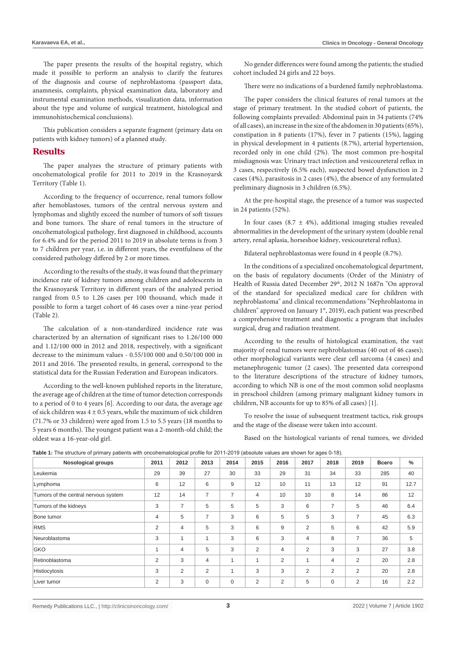The paper presents the results of the hospital registry, which made it possible to perform an analysis to clarify the features of the diagnosis and course of nephroblastoma (passport data, anamnesis, complaints, physical examination data, laboratory and instrumental examination methods, visualization data, information about the type and volume of surgical treatment, histological and immunohistochemical conclusions).

This publication considers a separate fragment (primary data on patients with kidney tumors) of a planned study.

#### **Results**

The paper analyzes the structure of primary patients with oncohematological profile for 2011 to 2019 in the Krasnoyarsk Territory (Table 1).

According to the frequency of occurrence, renal tumors follow after hemoblastoses, tumors of the central nervous system and lymphomas and slightly exceed the number of tumors of soft tissues and bone tumors. The share of renal tumors in the structure of oncohematological pathology, first diagnosed in childhood, accounts for 6.4% and for the period 2011 to 2019 in absolute terms is from 3 to 7 children per year, i.e. in different years, the eventfulness of the considered pathology differed by 2 or more times.

According to the results of the study, it was found that the primary incidence rate of kidney tumors among children and adolescents in the Krasnoyarsk Territory in different years of the analyzed period ranged from 0.5 to 1.26 cases per 100 thousand, which made it possible to form a target cohort of 46 cases over a nine-year period (Table 2).

The calculation of a non-standardized incidence rate was characterized by an alternation of significant rises to 1.26/100 000 and 1.12/100 000 in 2012 and 2018, respectively, with a significant decrease to the minimum values - 0.55/100 000 and 0.50/100 000 in 2011 and 2016. The presented results, in general, correspond to the statistical data for the Russian Federation and European indicators.

According to the well-known published reports in the literature, the average age of children at the time of tumor detection corresponds to a period of 0 to 4 years [6]. According to our data, the average age of sick children was  $4 \pm 0.5$  years, while the maximum of sick children (71.7% or 33 children) were aged from 1.5 to 5.5 years (18 months to 5 years 6 months). The youngest patient was a 2-month-old child; the oldest was a 16-year-old girl.

No gender differences were found among the patients; the studied cohort included 24 girls and 22 boys.

There were no indications of a burdened family nephroblastoma.

The paper considers the clinical features of renal tumors at the stage of primary treatment. In the studied cohort of patients, the following complaints prevailed: Abdominal pain in 34 patients (74% of all cases), an increase in the size of the abdomen in 30 patients (65%), constipation in 8 patients (17%), fever in 7 patients (15%), lagging in physical development in 4 patients (8.7%), arterial hypertension, recorded only in one child (2%). The most common pre-hospital misdiagnosis was: Urinary tract infection and vesicoureteral reflux in 3 cases, respectively (6.5% each), suspected bowel dysfunction in 2 cases (4%), parasitosis in 2 cases (4%), the absence of any formulated preliminary diagnosis in 3 children (6.5%).

At the pre-hospital stage, the presence of a tumor was suspected in 24 patients (52%).

In four cases (8.7  $\pm$  4%), additional imaging studies revealed abnormalities in the development of the urinary system (double renal artery, renal aplasia, horseshoe kidney, vesicoureteral reflux).

Bilateral nephroblastomas were found in 4 people (8.7%).

In the conditions of a specialized oncohematological department, on the basis of regulatory documents (Order of the Ministry of Health of Russia dated December 29th, 2012 N 1687n "On approval of the standard for specialized medical care for children with nephroblastoma" and clinical recommendations "Nephroblastoma in children" approved on January 1st, 2019), each patient was prescribed a comprehensive treatment and diagnostic a program that includes surgical, drug and radiation treatment.

According to the results of histological examination, the vast majority of renal tumors were nephroblastomas (40 out of 46 cases); other morphological variants were clear cell sarcoma (4 cases) and metanephrogenic tumor (2 cases). The presented data correspond to the literature descriptions of the structure of kidney tumors, according to which NB is one of the most common solid neoplasms in preschool children (among primary malignant kidney tumors in children, NB accounts for up to 85% of all cases) [1].

To resolve the issue of subsequent treatment tactics, risk groups and the stage of the disease were taken into account.

Based on the histological variants of renal tumors, we divided

|  | Table 1: The structure of primary patients with oncohematological profile for 2011-2019 (absolute values are shown for ages 0-18). |  |  |  |
|--|------------------------------------------------------------------------------------------------------------------------------------|--|--|--|
|--|------------------------------------------------------------------------------------------------------------------------------------|--|--|--|

| <b>Nosological groups</b>            | 2011 | 2012           | 2013           | 2014         | 2015           | 2016 | 2017           | 2018           | 2019 | Всего | $\%$ |
|--------------------------------------|------|----------------|----------------|--------------|----------------|------|----------------|----------------|------|-------|------|
| Leukemia                             | 29   | 39             | 27             | 30           | 33             | 29   | 31             | 34             | 33   | 285   | 40   |
| Lymphoma                             | 6    | 12             | 6              | 9            | 12             | 10   | 11             | 13             | 12   | 91    | 12.7 |
| Tumors of the central nervous system | 12   | 14             | 7              | 7            | 4              | 10   | 10             | 8              | 14   | 86    | 12   |
| Tumors of the kidneys                | 3    | $\overline{7}$ | 5              | 5            | 5              | 3    | 6              | 7              | 5    | 46    | 6.4  |
| Bone tumor                           | 4    | 5              | 7              | 3            | 6              | 5    | 5              | 3              | 7    | 45    | 6.3  |
| <b>RMS</b>                           | 2    | $\overline{4}$ | 5              | 3            | 6              | 9    | 2              | 5              | 6    | 42    | 5.9  |
| Neuroblastoma                        | 3    | $\mathbf{1}$   | 1              | 3            | 6              | 3    | $\overline{4}$ | 8              | 7    | 36    | 5    |
| <b>GKO</b>                           |      | $\overline{4}$ | 5              | 3            | $\overline{2}$ | 4    | 2              | 3              | 3    | 27    | 3.8  |
| Retinoblastoma                       | 2    | 3              | $\overline{4}$ | $\mathbf{1}$ |                | 2    | $\overline{1}$ | $\overline{4}$ | 2    | 20    | 2.8  |
| Histiocytosis                        | 3    | 2              | $\overline{2}$ | 1            | 3              | 3    | 2              | $\overline{2}$ | 2    | 20    | 2.8  |
| Liver tumor                          | 2    | 3              | $\mathbf 0$    | 0            | $\overline{2}$ | 2    | 5              | 0              | 2    | 16    | 2.2  |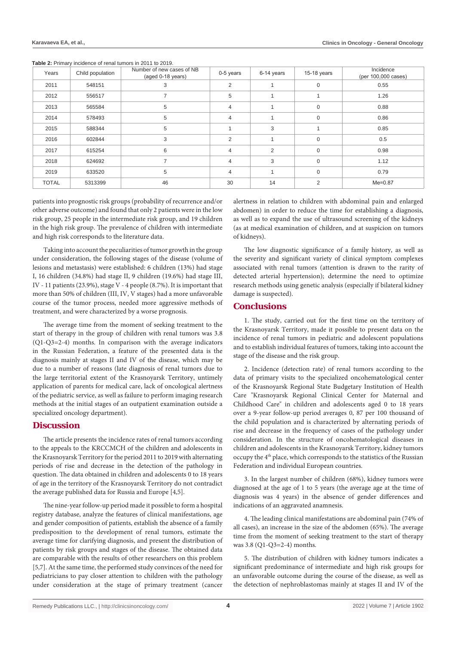| Years        | Child population | Number of new cases of NB<br>(aged 0-18 years) | 0-5 years      | 6-14 years     | $15-18$ years | Incidence<br>(per 100,000 cases) |
|--------------|------------------|------------------------------------------------|----------------|----------------|---------------|----------------------------------|
| 2011         | 548151           | 3                                              | $\overline{2}$ |                | $\mathbf 0$   | 0.55                             |
| 2012         | 556517           |                                                | 5              |                |               | 1.26                             |
| 2013         | 565584           | 5                                              | $\overline{4}$ |                | 0             | 0.88                             |
| 2014         | 578493           | 5                                              | $\overline{4}$ |                | 0             | 0.86                             |
| 2015         | 588344           | 5                                              |                | 3              |               | 0.85                             |
| 2016         | 602844           | 3                                              | $\overline{2}$ |                | $\mathbf 0$   | 0.5                              |
| 2017         | 615254           | 6                                              | 4              | $\overline{2}$ | $\mathbf 0$   | 0.98                             |
| 2018         | 624692           | $\overline{ }$                                 | $\overline{4}$ | 3              | $\mathbf 0$   | 1.12                             |
| 2019         | 633520           | 5                                              | $\overline{4}$ |                | $\mathbf 0$   | 0.79                             |
| <b>TOTAL</b> | 5313399          | 46                                             | 30             | 14             | 2             | $Me = 0.87$                      |

patients into prognostic risk groups (probability of recurrence and/or other adverse outcome) and found that only 2 patients were in the low risk group, 25 people in the intermediate risk group, and 19 children in the high risk group. The prevalence of children with intermediate and high risk corresponds to the literature data.

Taking into account the peculiarities of tumor growth in the group under consideration, the following stages of the disease (volume of lesions and metastasis) were established: 6 children (13%) had stage I, 16 children (34.8%) had stage II, 9 children (19.6%) had stage III, IV - 11 patients (23.9%), stage V - 4 people (8.7%). It is important that more than 50% of children (III, IV, V stages) had a more unfavorable course of the tumor process, needed more aggressive methods of treatment, and were characterized by a worse prognosis.

The average time from the moment of seeking treatment to the start of therapy in the group of children with renal tumors was 3.8 (Q1-Q3=2-4) months. In comparison with the average indicators in the Russian Federation, a feature of the presented data is the diagnosis mainly at stages II and IV of the disease, which may be due to a number of reasons (late diagnosis of renal tumors due to the large territorial extent of the Krasnoyarsk Territory, untimely application of parents for medical care, lack of oncological alertness of the pediatric service, as well as failure to perform imaging research methods at the initial stages of an outpatient examination outside a specialized oncology department).

#### **Discussion**

The article presents the incidence rates of renal tumors according to the appeals to the KRCCMCH of the children and adolescents in the Krasnoyarsk Territory for the period 2011 to 2019 with alternating periods of rise and decrease in the detection of the pathology in question. The data obtained in children and adolescents 0 to 18 years of age in the territory of the Krasnoyarsk Territory do not contradict the average published data for Russia and Europe [4,5].

The nine-year follow-up period made it possible to form a hospital registry database, analyze the features of clinical manifestations, age and gender composition of patients, establish the absence of a family predisposition to the development of renal tumors, estimate the average time for clarifying diagnosis, and present the distribution of patients by risk groups and stages of the disease. The obtained data are comparable with the results of other researchers on this problem [5,7]. At the same time, the performed study convinces of the need for pediatricians to pay closer attention to children with the pathology under consideration at the stage of primary treatment (cancer

alertness in relation to children with abdominal pain and enlarged abdomen) in order to reduce the time for establishing a diagnosis, as well as to expand the use of ultrasound screening of the kidneys (as at medical examination of children, and at suspicion on tumors of kidneys).

The low diagnostic significance of a family history, as well as the severity and significant variety of clinical symptom complexes associated with renal tumors (attention is drawn to the rarity of detected arterial hypertension); determine the need to optimize research methods using genetic analysis (especially if bilateral kidney damage is suspected).

### **Conclusions**

1. The study, carried out for the first time on the territory of the Krasnoyarsk Territory, made it possible to present data on the incidence of renal tumors in pediatric and adolescent populations and to establish individual features of tumors, taking into account the stage of the disease and the risk group.

2. Incidence (detection rate) of renal tumors according to the data of primary visits to the specialized oncohematological center of the Krasnoyarsk Regional State Budgetary Institution of Health Care "Krasnoyarsk Regional Clinical Center for Maternal and Childhood Care" in children and adolescents aged 0 to 18 years over a 9-year follow-up period averages 0, 87 per 100 thousand of the child population and is characterized by alternating periods of rise and decrease in the frequency of cases of the pathology under consideration. In the structure of oncohematological diseases in children and adolescents in the Krasnoyarsk Territory, kidney tumors occupy the 4<sup>th</sup> place, which corresponds to the statistics of the Russian Federation and individual European countries.

3. In the largest number of children (68%), kidney tumors were diagnosed at the age of 1 to 5 years (the average age at the time of diagnosis was 4 years) in the absence of gender differences and indications of an aggravated anamnesis.

4. The leading clinical manifestations are abdominal pain (74% of all cases), an increase in the size of the abdomen (65%). The average time from the moment of seeking treatment to the start of therapy was 3.8 (Q1-Q3=2-4) months.

5. The distribution of children with kidney tumors indicates a significant predominance of intermediate and high risk groups for an unfavorable outcome during the course of the disease, as well as the detection of nephroblastomas mainly at stages II and IV of the